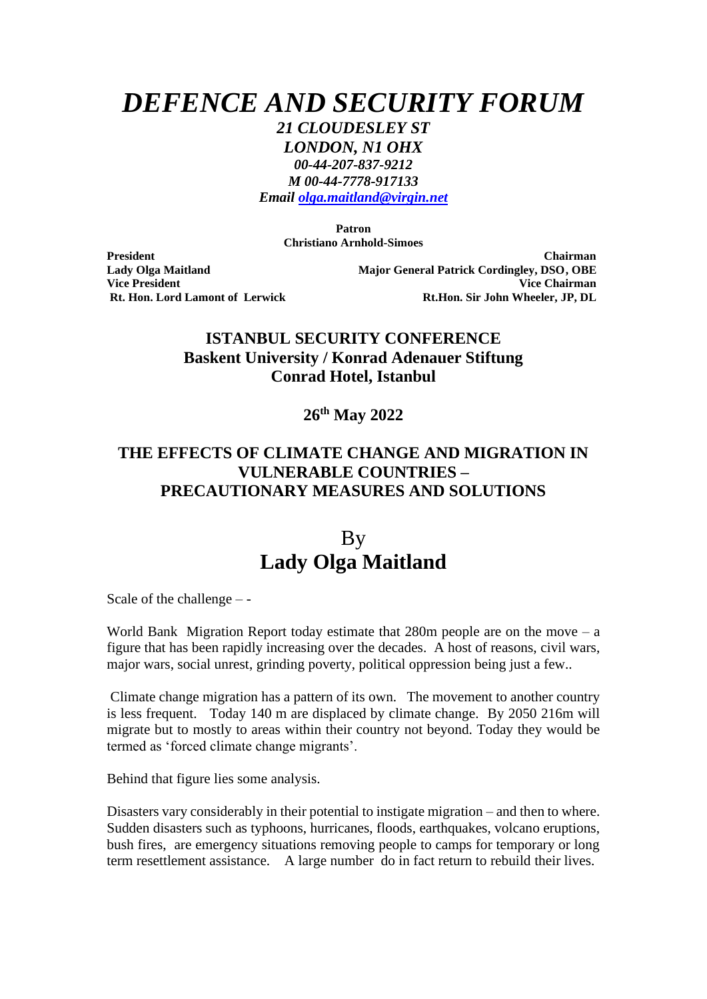*DEFENCE AND SECURITY FORUM*

*21 CLOUDESLEY ST*

*LONDON, N1 OHX 00-44-207-837-9212 M 00-44-7778-917133*

*Email [olga.maitland@virgin.net](mailto:olga.maitland@virgin.net)*

**Patron Christiano Arnhold-Simoes**

**President Chairman Lady Olga Maitland Major General Patrick Cordingley, DSO, OBE Vice President Vice Chairman Rt. Hon. Lord Lamont of Lerwick Rt.Hon. Sir John Wheeler, JP, DL**

## **ISTANBUL SECURITY CONFERENCE Baskent University / Konrad Adenauer Stiftung Conrad Hotel, Istanbul**

## **26th May 2022**

## **THE EFFECTS OF CLIMATE CHANGE AND MIGRATION IN VULNERABLE COUNTRIES – PRECAUTIONARY MEASURES AND SOLUTIONS**

## By **Lady Olga Maitland**

Scale of the challenge – -

World Bank Migration Report today estimate that  $280m$  people are on the move – a figure that has been rapidly increasing over the decades. A host of reasons, civil wars, major wars, social unrest, grinding poverty, political oppression being just a few..

Climate change migration has a pattern of its own. The movement to another country is less frequent. Today 140 m are displaced by climate change. By 2050 216m will migrate but to mostly to areas within their country not beyond. Today they would be termed as 'forced climate change migrants'.

Behind that figure lies some analysis.

Disasters vary considerably in their potential to instigate migration – and then to where. Sudden disasters such as typhoons, hurricanes, floods, earthquakes, volcano eruptions, bush fires, are emergency situations removing people to camps for temporary or long term resettlement assistance. A large number do in fact return to rebuild their lives.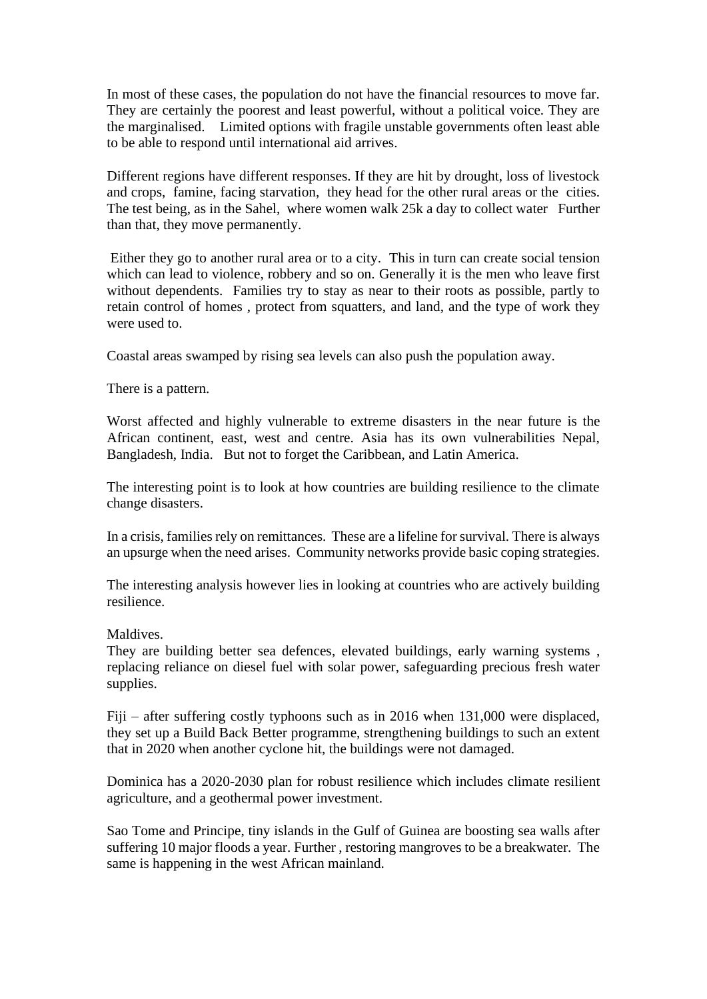In most of these cases, the population do not have the financial resources to move far. They are certainly the poorest and least powerful, without a political voice. They are the marginalised. Limited options with fragile unstable governments often least able to be able to respond until international aid arrives.

Different regions have different responses. If they are hit by drought, loss of livestock and crops, famine, facing starvation, they head for the other rural areas or the cities. The test being, as in the Sahel, where women walk 25k a day to collect water Further than that, they move permanently.

Either they go to another rural area or to a city. This in turn can create social tension which can lead to violence, robbery and so on. Generally it is the men who leave first without dependents. Families try to stay as near to their roots as possible, partly to retain control of homes , protect from squatters, and land, and the type of work they were used to.

Coastal areas swamped by rising sea levels can also push the population away.

There is a pattern.

Worst affected and highly vulnerable to extreme disasters in the near future is the African continent, east, west and centre. Asia has its own vulnerabilities Nepal, Bangladesh, India. But not to forget the Caribbean, and Latin America.

The interesting point is to look at how countries are building resilience to the climate change disasters.

In a crisis, families rely on remittances. These are a lifeline for survival. There is always an upsurge when the need arises. Community networks provide basic coping strategies.

The interesting analysis however lies in looking at countries who are actively building resilience.

Maldives.

They are building better sea defences, elevated buildings, early warning systems , replacing reliance on diesel fuel with solar power, safeguarding precious fresh water supplies.

Fiji – after suffering costly typhoons such as in 2016 when 131,000 were displaced, they set up a Build Back Better programme, strengthening buildings to such an extent that in 2020 when another cyclone hit, the buildings were not damaged.

Dominica has a 2020-2030 plan for robust resilience which includes climate resilient agriculture, and a geothermal power investment.

Sao Tome and Principe, tiny islands in the Gulf of Guinea are boosting sea walls after suffering 10 major floods a year. Further , restoring mangroves to be a breakwater. The same is happening in the west African mainland.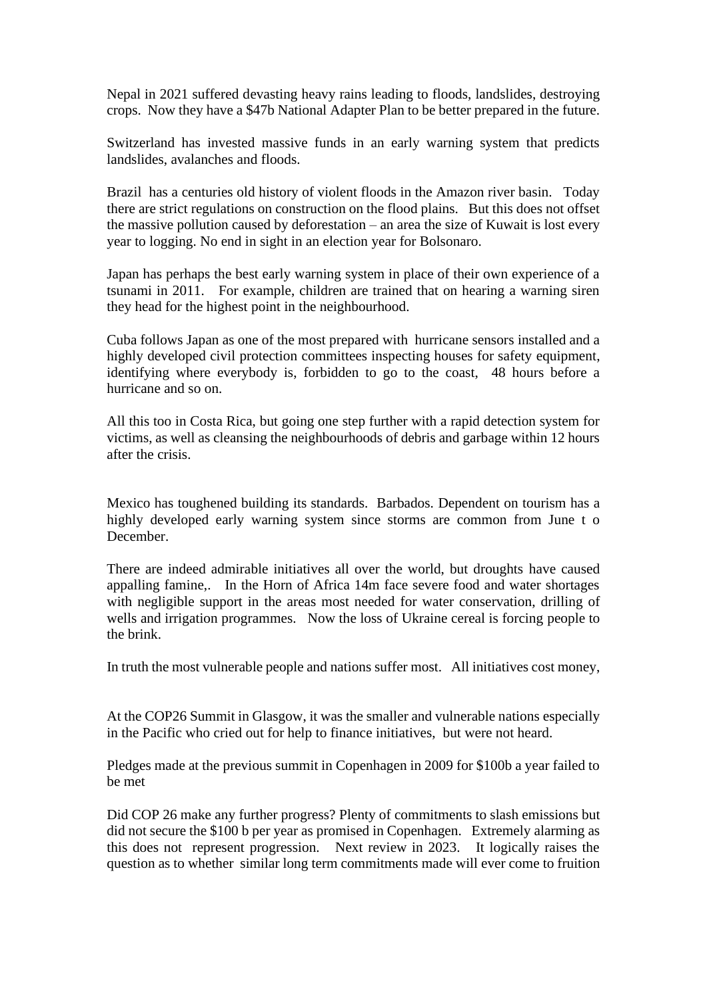Nepal in 2021 suffered devasting heavy rains leading to floods, landslides, destroying crops. Now they have a \$47b National Adapter Plan to be better prepared in the future.

Switzerland has invested massive funds in an early warning system that predicts landslides, avalanches and floods.

Brazil has a centuries old history of violent floods in the Amazon river basin. Today there are strict regulations on construction on the flood plains. But this does not offset the massive pollution caused by deforestation – an area the size of Kuwait is lost every year to logging. No end in sight in an election year for Bolsonaro.

Japan has perhaps the best early warning system in place of their own experience of a tsunami in 2011. For example, children are trained that on hearing a warning siren they head for the highest point in the neighbourhood.

Cuba follows Japan as one of the most prepared with hurricane sensors installed and a highly developed civil protection committees inspecting houses for safety equipment, identifying where everybody is, forbidden to go to the coast, 48 hours before a hurricane and so on.

All this too in Costa Rica, but going one step further with a rapid detection system for victims, as well as cleansing the neighbourhoods of debris and garbage within 12 hours after the crisis.

Mexico has toughened building its standards. Barbados. Dependent on tourism has a highly developed early warning system since storms are common from June t o December.

There are indeed admirable initiatives all over the world, but droughts have caused appalling famine,. In the Horn of Africa 14m face severe food and water shortages with negligible support in the areas most needed for water conservation, drilling of wells and irrigation programmes. Now the loss of Ukraine cereal is forcing people to the brink.

In truth the most vulnerable people and nations suffer most. All initiatives cost money,

At the COP26 Summit in Glasgow, it was the smaller and vulnerable nations especially in the Pacific who cried out for help to finance initiatives, but were not heard.

Pledges made at the previous summit in Copenhagen in 2009 for \$100b a year failed to be met

Did COP 26 make any further progress? Plenty of commitments to slash emissions but did not secure the \$100 b per year as promised in Copenhagen. Extremely alarming as this does not represent progression. Next review in 2023. It logically raises the question as to whether similar long term commitments made will ever come to fruition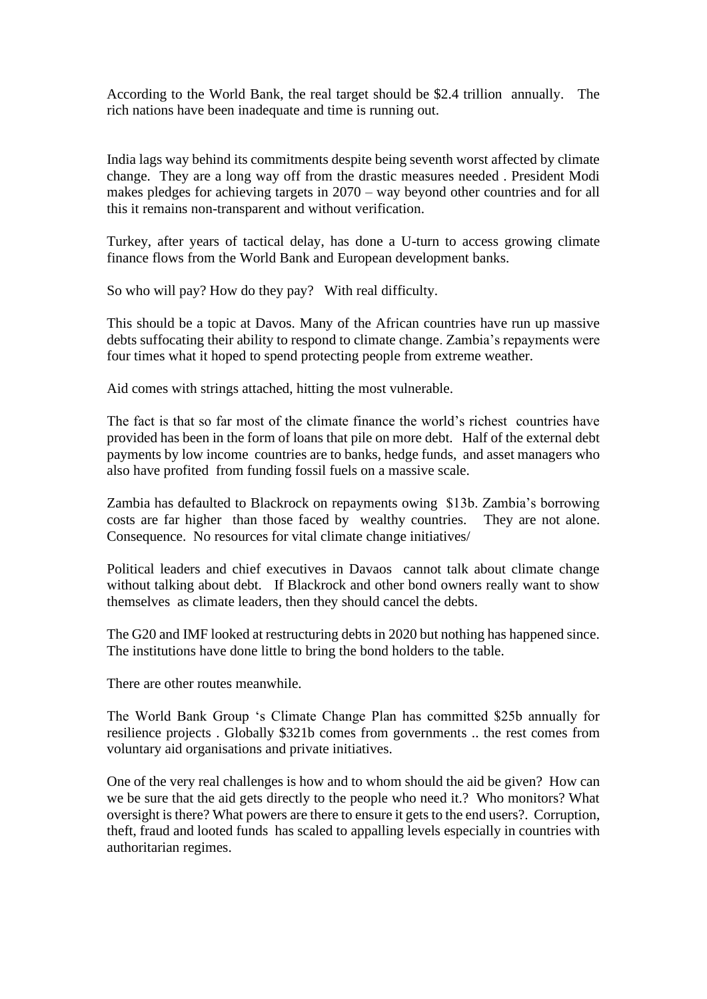According to the World Bank, the real target should be \$2.4 trillion annually. The rich nations have been inadequate and time is running out.

India lags way behind its commitments despite being seventh worst affected by climate change. They are a long way off from the drastic measures needed . President Modi makes pledges for achieving targets in 2070 – way beyond other countries and for all this it remains non-transparent and without verification.

Turkey, after years of tactical delay, has done a U-turn to access growing climate finance flows from the World Bank and European development banks.

So who will pay? How do they pay? With real difficulty.

This should be a topic at Davos. Many of the African countries have run up massive debts suffocating their ability to respond to climate change. Zambia's repayments were four times what it hoped to spend protecting people from extreme weather.

Aid comes with strings attached, hitting the most vulnerable.

The fact is that so far most of the climate finance the world's richest countries have provided has been in the form of loans that pile on more debt. Half of the external debt payments by low income countries are to banks, hedge funds, and asset managers who also have profited from funding fossil fuels on a massive scale.

Zambia has defaulted to Blackrock on repayments owing \$13b. Zambia's borrowing costs are far higher than those faced by wealthy countries. They are not alone. Consequence. No resources for vital climate change initiatives/

Political leaders and chief executives in Davaos cannot talk about climate change without talking about debt. If Blackrock and other bond owners really want to show themselves as climate leaders, then they should cancel the debts.

The G20 and IMF looked at restructuring debts in 2020 but nothing has happened since. The institutions have done little to bring the bond holders to the table.

There are other routes meanwhile.

The World Bank Group 's Climate Change Plan has committed \$25b annually for resilience projects . Globally \$321b comes from governments .. the rest comes from voluntary aid organisations and private initiatives.

One of the very real challenges is how and to whom should the aid be given? How can we be sure that the aid gets directly to the people who need it.? Who monitors? What oversight is there? What powers are there to ensure it gets to the end users?. Corruption, theft, fraud and looted funds has scaled to appalling levels especially in countries with authoritarian regimes.